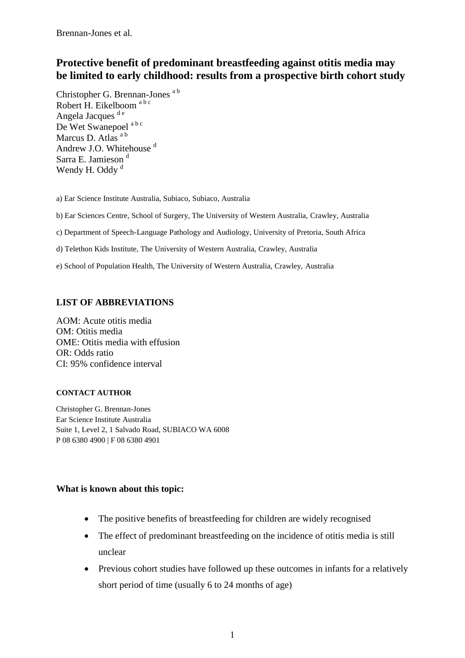# **Protective benefit of predominant breastfeeding against otitis media may be limited to early childhood: results from a prospective birth cohort study**

Christopher G. Brennan-Jones a b Robert H. Eikelboom a b c Angela Jacques<sup>de</sup> De Wet Swanepoel<sup>ab c</sup> Marcus D. Atlas<sup>a b</sup> Andrew J.O. Whitehouse<sup>d</sup> Sarra E. Jamieson<sup>d</sup> Wendy H. Oddy<sup>d</sup>

a) Ear Science Institute Australia, Subiaco, Subiaco, Australia

b) Ear Sciences Centre, School of Surgery, The University of Western Australia, Crawley, Australia

c) Department of Speech-Language Pathology and Audiology, University of Pretoria, South Africa

d) Telethon Kids Institute, The University of Western Australia, Crawley, Australia

e) School of Population Health, The University of Western Australia, Crawley, Australia

# **LIST OF ABBREVIATIONS**

AOM: Acute otitis media OM: Otitis media OME: Otitis media with effusion OR: Odds ratio CI: 95% confidence interval

## **CONTACT AUTHOR**

Christopher G. Brennan-Jones Ear Science Institute Australia Suite 1, Level 2, 1 Salvado Road, SUBIACO WA 6008 P 08 6380 4900 | F 08 6380 4901

# **What is known about this topic:**

- The positive benefits of breastfeeding for children are widely recognised
- The effect of predominant breastfeeding on the incidence of otitis media is still unclear
- Previous cohort studies have followed up these outcomes in infants for a relatively short period of time (usually 6 to 24 months of age)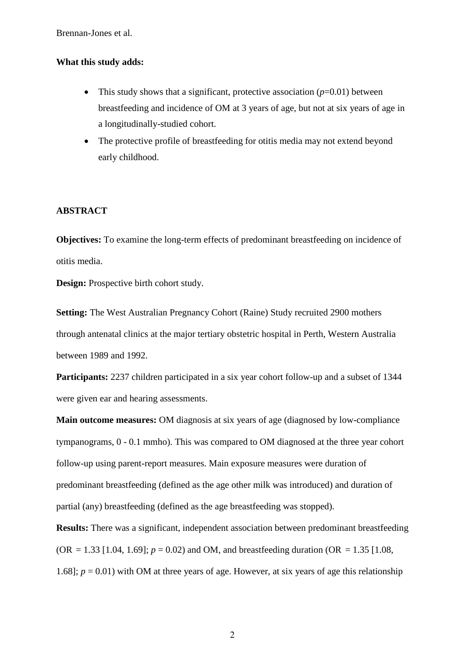## **What this study adds:**

- This study shows that a significant, protective association  $(p=0.01)$  between breastfeeding and incidence of OM at 3 years of age, but not at six years of age in a longitudinally-studied cohort.
- The protective profile of breastfeeding for otitis media may not extend beyond early childhood.

## **ABSTRACT**

**Objectives:** To examine the long-term effects of predominant breastfeeding on incidence of otitis media.

**Design:** Prospective birth cohort study.

**Setting:** The West Australian Pregnancy Cohort (Raine) Study recruited 2900 mothers through antenatal clinics at the major tertiary obstetric hospital in Perth, Western Australia between 1989 and 1992.

**Participants:** 2237 children participated in a six year cohort follow-up and a subset of 1344 were given ear and hearing assessments.

**Main outcome measures:** OM diagnosis at six years of age (diagnosed by low-compliance tympanograms, 0 - 0.1 mmho). This was compared to OM diagnosed at the three year cohort follow-up using parent-report measures. Main exposure measures were duration of predominant breastfeeding (defined as the age other milk was introduced) and duration of partial (any) breastfeeding (defined as the age breastfeeding was stopped).

**Results:** There was a significant, independent association between predominant breastfeeding  $(OR = 1.33 [1.04, 1.69]; p = 0.02)$  and OM, and breastfeeding duration  $(OR = 1.35 [1.08,$ 1.68];  $p = 0.01$ ) with OM at three years of age. However, at six years of age this relationship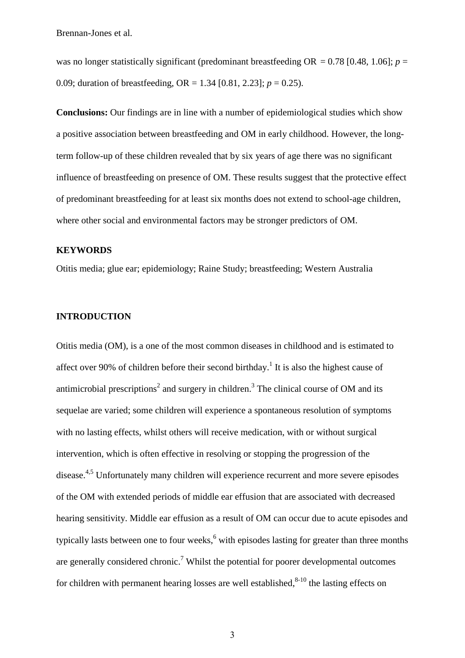was no longer statistically significant (predominant breastfeeding  $OR = 0.78$  [0.48, 1.06];  $p =$ 0.09; duration of breastfeeding,  $OR = 1.34$  [0.81, 2.23];  $p = 0.25$ ).

**Conclusions:** Our findings are in line with a number of epidemiological studies which show a positive association between breastfeeding and OM in early childhood. However, the longterm follow-up of these children revealed that by six years of age there was no significant influence of breastfeeding on presence of OM. These results suggest that the protective effect of predominant breastfeeding for at least six months does not extend to school-age children, where other social and environmental factors may be stronger predictors of OM.

# **KEYWORDS**

Otitis media; glue ear; epidemiology; Raine Study; breastfeeding; Western Australia

## **INTRODUCTION**

Otitis media (OM), is a one of the most common diseases in childhood and is estimated to affect over 90% of children before their second birthday.<sup>1</sup> It is also the highest cause of antimicrobial prescriptions<sup>2</sup> and surgery in children.<sup>3</sup> The clinical course of OM and its sequelae are varied; some children will experience a spontaneous resolution of symptoms with no lasting effects, whilst others will receive medication, with or without surgical intervention, which is often effective in resolving or stopping the progression of the disease.4,5 Unfortunately many children will experience recurrent and more severe episodes of the OM with extended periods of middle ear effusion that are associated with decreased hearing sensitivity. Middle ear effusion as a result of OM can occur due to acute episodes and typically lasts between one to four weeks,<sup>6</sup> with episodes lasting for greater than three months are generally considered chronic.<sup>7</sup> Whilst the potential for poorer developmental outcomes for children with permanent hearing losses are well established, $8-10$  the lasting effects on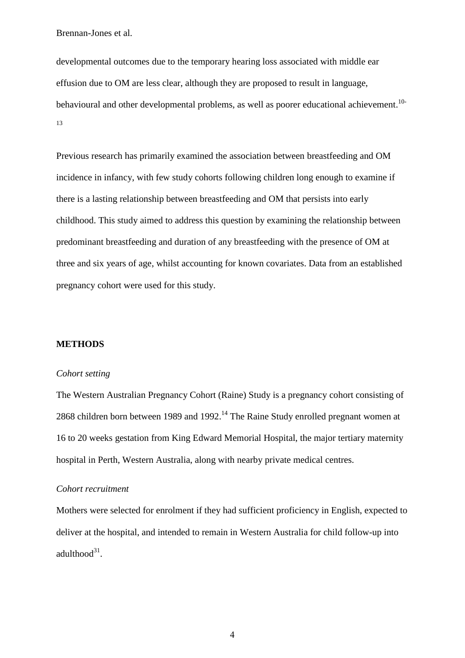developmental outcomes due to the temporary hearing loss associated with middle ear effusion due to OM are less clear, although they are proposed to result in language, behavioural and other developmental problems, as well as poorer educational achievement.<sup>10-</sup> 13

Previous research has primarily examined the association between breastfeeding and OM incidence in infancy, with few study cohorts following children long enough to examine if there is a lasting relationship between breastfeeding and OM that persists into early childhood. This study aimed to address this question by examining the relationship between predominant breastfeeding and duration of any breastfeeding with the presence of OM at three and six years of age, whilst accounting for known covariates. Data from an established pregnancy cohort were used for this study.

## **METHODS**

### *Cohort setting*

The Western Australian Pregnancy Cohort (Raine) Study is a pregnancy cohort consisting of 2868 children born between 1989 and 1992.<sup>14</sup> The Raine Study enrolled pregnant women at 16 to 20 weeks gestation from King Edward Memorial Hospital, the major tertiary maternity hospital in Perth, Western Australia, along with nearby private medical centres.

## *Cohort recruitment*

Mothers were selected for enrolment if they had sufficient proficiency in English, expected to deliver at the hospital, and intended to remain in Western Australia for child follow-up into  $adulthood<sup>31</sup>$ .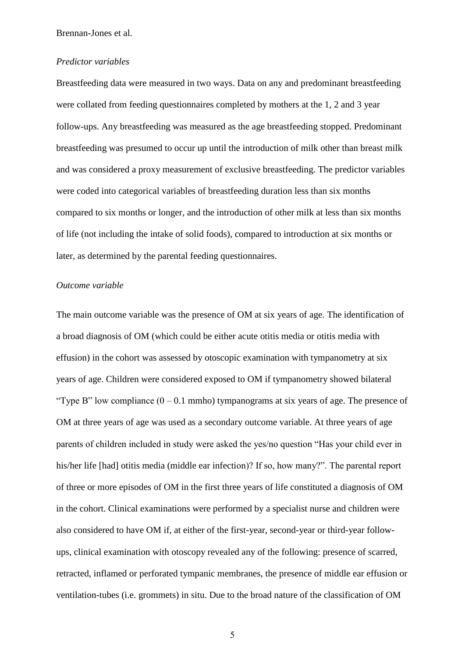#### *Predictor variables*

Breastfeeding data were measured in two ways. Data on any and predominant breastfeeding were collated from feeding questionnaires completed by mothers at the 1, 2 and 3 year follow-ups. Any breastfeeding was measured as the age breastfeeding stopped. Predominant breastfeeding was presumed to occur up until the introduction of milk other than breast milk and was considered a proxy measurement of exclusive breastfeeding. The predictor variables were coded into categorical variables of breastfeeding duration less than six months compared to six months or longer, and the introduction of other milk at less than six months of life (not including the intake of solid foods), compared to introduction at six months or later, as determined by the parental feeding questionnaires.

### *Outcome variable*

The main outcome variable was the presence of OM at six years of age. The identification of a broad diagnosis of OM (which could be either acute otitis media or otitis media with effusion) in the cohort was assessed by otoscopic examination with tympanometry at six years of age. Children were considered exposed to OM if tympanometry showed bilateral "Type B" low compliance  $(0 - 0.1 \text{ mmho})$  tympanograms at six years of age. The presence of OM at three years of age was used as a secondary outcome variable. At three years of age parents of children included in study were asked the yes/no question "Has your child ever in his/her life [had] otitis media (middle ear infection)? If so, how many?". The parental report of three or more episodes of OM in the first three years of life constituted a diagnosis of OM in the cohort. Clinical examinations were performed by a specialist nurse and children were also considered to have OM if, at either of the first-year, second-year or third-year followups, clinical examination with otoscopy revealed any of the following: presence of scarred, retracted, inflamed or perforated tympanic membranes, the presence of middle ear effusion or ventilation-tubes (i.e. grommets) in situ. Due to the broad nature of the classification of OM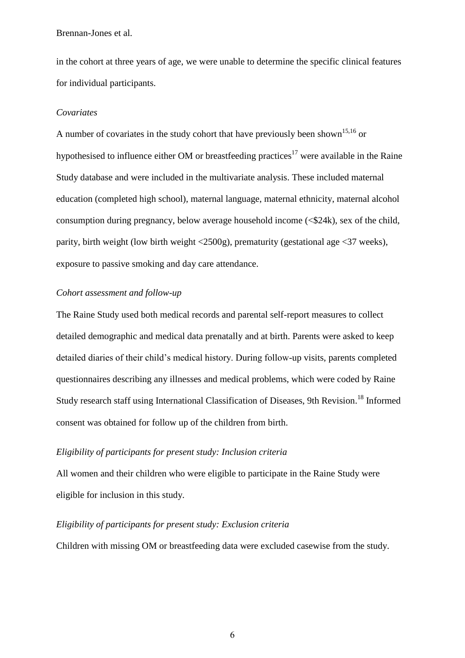in the cohort at three years of age, we were unable to determine the specific clinical features for individual participants.

### *Covariates*

A number of covariates in the study cohort that have previously been shown<sup>15,16</sup> or hypothesised to influence either OM or breastfeeding practices<sup>17</sup> were available in the Raine Study database and were included in the multivariate analysis. These included maternal education (completed high school), maternal language, maternal ethnicity, maternal alcohol consumption during pregnancy, below average household income  $\langle \text{\textless 24k} \rangle$ , sex of the child, parity, birth weight (low birth weight <2500g), prematurity (gestational age <37 weeks), exposure to passive smoking and day care attendance.

## *Cohort assessment and follow-up*

The Raine Study used both medical records and parental self-report measures to collect detailed demographic and medical data prenatally and at birth. Parents were asked to keep detailed diaries of their child's medical history. During follow-up visits, parents completed questionnaires describing any illnesses and medical problems, which were coded by Raine Study research staff using International Classification of Diseases, 9th Revision.<sup>18</sup> Informed consent was obtained for follow up of the children from birth.

# *Eligibility of participants for present study: Inclusion criteria*

All women and their children who were eligible to participate in the Raine Study were eligible for inclusion in this study.

## *Eligibility of participants for present study: Exclusion criteria*

Children with missing OM or breastfeeding data were excluded casewise from the study.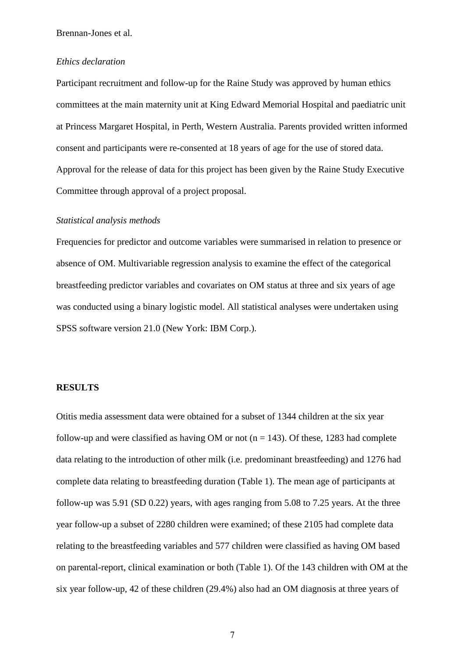#### *Ethics declaration*

Participant recruitment and follow-up for the Raine Study was approved by human ethics committees at the main maternity unit at King Edward Memorial Hospital and paediatric unit at Princess Margaret Hospital, in Perth, Western Australia. Parents provided written informed consent and participants were re-consented at 18 years of age for the use of stored data. Approval for the release of data for this project has been given by the Raine Study Executive Committee through approval of a project proposal.

## *Statistical analysis methods*

Frequencies for predictor and outcome variables were summarised in relation to presence or absence of OM. Multivariable regression analysis to examine the effect of the categorical breastfeeding predictor variables and covariates on OM status at three and six years of age was conducted using a binary logistic model. All statistical analyses were undertaken using SPSS software version 21.0 (New York: IBM Corp.).

## **RESULTS**

Otitis media assessment data were obtained for a subset of 1344 children at the six year follow-up and were classified as having OM or not ( $n = 143$ ). Of these, 1283 had complete data relating to the introduction of other milk (i.e. predominant breastfeeding) and 1276 had complete data relating to breastfeeding duration (Table 1). The mean age of participants at follow-up was 5.91 (SD 0.22) years, with ages ranging from 5.08 to 7.25 years. At the three year follow-up a subset of 2280 children were examined; of these 2105 had complete data relating to the breastfeeding variables and 577 children were classified as having OM based on parental-report, clinical examination or both (Table 1). Of the 143 children with OM at the six year follow-up, 42 of these children (29.4%) also had an OM diagnosis at three years of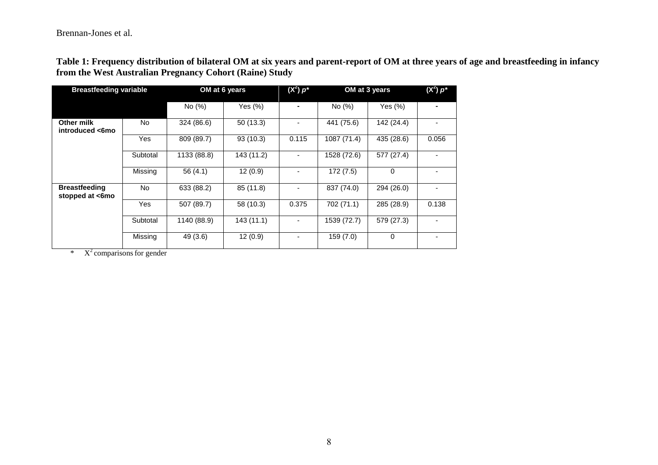**Table 1: Frequency distribution of bilateral OM at six years and parent-report of OM at three years of age and breastfeeding in infancy from the West Australian Pregnancy Cohort (Raine) Study** 

| <b>Breastfeeding variable</b>           |          |             | OM at 6 years | $(X^2) p^*$ | OM at 3 years | $(X^2) p^*$ |       |
|-----------------------------------------|----------|-------------|---------------|-------------|---------------|-------------|-------|
|                                         |          | No $(\%)$   | Yes $(\%)$    |             | No (%)        | Yes $(\%)$  |       |
| Other milk<br>introduced <6mo           | No.      | 324 (86.6)  | 50(13.3)      |             | 441 (75.6)    | 142 (24.4)  |       |
|                                         | Yes      | 809 (89.7)  | 93 (10.3)     | 0.115       | 1087 (71.4)   | 435 (28.6)  | 0.056 |
|                                         | Subtotal | 1133 (88.8) | 143 (11.2)    |             | 1528 (72.6)   | 577 (27.4)  |       |
|                                         | Missing  | 56(4.1)     | 12(0.9)       |             | 172 (7.5)     | $\mathbf 0$ |       |
| <b>Breastfeeding</b><br>stopped at <6mo | No.      | 633 (88.2)  | 85 (11.8)     | ۰           | 837 (74.0)    | 294 (26.0)  |       |
|                                         | Yes      | 507 (89.7)  | 58 (10.3)     | 0.375       | 702 (71.1)    | 285 (28.9)  | 0.138 |
|                                         | Subtotal | 1140 (88.9) | 143(11.1)     | ۰.          | 1539 (72.7)   | 579 (27.3)  |       |
|                                         | Missing  | 49 (3.6)    | 12(0.9)       |             | 159 (7.0)     | $\mathbf 0$ |       |

 $*$   $X^2$  comparisons for gender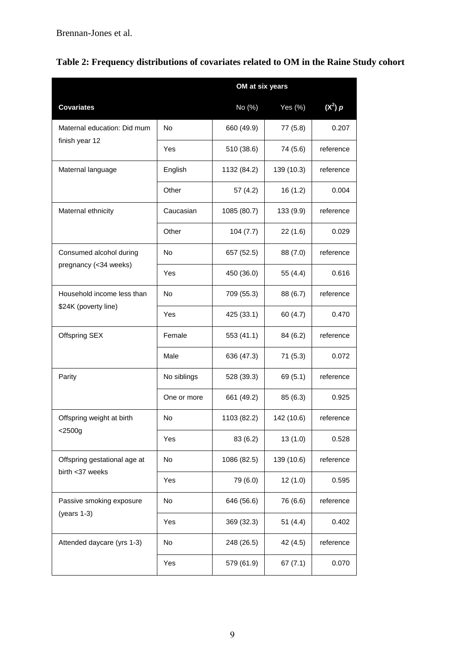|                              | OM at six years |             |            |           |  |  |  |
|------------------------------|-----------------|-------------|------------|-----------|--|--|--|
| <b>Covariates</b>            |                 | No (%)      | Yes (%)    | $(X^2)$ p |  |  |  |
| Maternal education: Did mum  | No              | 660 (49.9)  | 77 (5.8)   | 0.207     |  |  |  |
| finish year 12               | Yes             | 510 (38.6)  | 74 (5.6)   | reference |  |  |  |
| Maternal language            | English         | 1132 (84.2) | 139 (10.3) | reference |  |  |  |
|                              | Other           | 57 (4.2)    | 16(1.2)    | 0.004     |  |  |  |
| Maternal ethnicity           | Caucasian       | 1085 (80.7) | 133 (9.9)  | reference |  |  |  |
|                              | Other           | 104(7.7)    | 22(1.6)    | 0.029     |  |  |  |
| Consumed alcohol during      | No              | 657 (52.5)  | 88 (7.0)   | reference |  |  |  |
| pregnancy (<34 weeks)        | Yes             | 450 (36.0)  | 55 (4.4)   | 0.616     |  |  |  |
| Household income less than   | No              | 709 (55.3)  | 88 (6.7)   | reference |  |  |  |
| \$24K (poverty line)         | Yes             | 425 (33.1)  | 60 (4.7)   | 0.470     |  |  |  |
| Offspring SEX                | Female          | 553 (41.1)  | 84 (6.2)   | reference |  |  |  |
|                              | Male            | 636 (47.3)  | 71(5.3)    | 0.072     |  |  |  |
| Parity                       | No siblings     | 528 (39.3)  | 69 (5.1)   | reference |  |  |  |
|                              | One or more     | 661 (49.2)  | 85 (6.3)   | 0.925     |  |  |  |
| Offspring weight at birth    | No              | 1103 (82.2) | 142 (10.6) | reference |  |  |  |
| $<$ 2500g                    | Yes             | 83 (6.2)    | 13(1.0)    | 0.528     |  |  |  |
| Offspring gestational age at | No              | 1086 (82.5) | 139 (10.6) | reference |  |  |  |
| birth <37 weeks              | Yes             | 79 (6.0)    | 12(1.0)    | 0.595     |  |  |  |
| Passive smoking exposure     | No              | 646 (56.6)  | 76 (6.6)   | reference |  |  |  |
| $(years 1-3)$                | Yes             | 369 (32.3)  | 51(4.4)    | 0.402     |  |  |  |
| Attended daycare (yrs 1-3)   | No              | 248 (26.5)  | 42 (4.5)   | reference |  |  |  |
|                              | Yes             | 579 (61.9)  | 67(7.1)    | 0.070     |  |  |  |

|  |  |  |  |  |  |  | Table 2: Frequency distributions of covariates related to OM in the Raine Study cohort |
|--|--|--|--|--|--|--|----------------------------------------------------------------------------------------|
|--|--|--|--|--|--|--|----------------------------------------------------------------------------------------|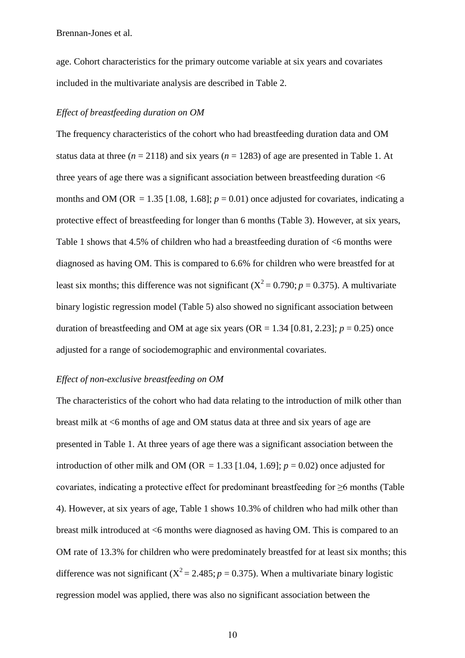age. Cohort characteristics for the primary outcome variable at six years and covariates included in the multivariate analysis are described in Table 2.

## *Effect of breastfeeding duration on OM*

The frequency characteristics of the cohort who had breastfeeding duration data and OM status data at three  $(n = 2118)$  and six years  $(n = 1283)$  of age are presented in Table 1. At three years of age there was a significant association between breastfeeding duration  $< 6$ months and OM (OR = 1.35 [1.08, 1.68];  $p = 0.01$ ) once adjusted for covariates, indicating a protective effect of breastfeeding for longer than 6 months (Table 3). However, at six years, Table 1 shows that 4.5% of children who had a breastfeeding duration of <6 months were diagnosed as having OM. This is compared to 6.6% for children who were breastfed for at least six months; this difference was not significant  $(X^2 = 0.790; p = 0.375)$ . A multivariate binary logistic regression model (Table 5) also showed no significant association between duration of breastfeeding and OM at age six years (OR =  $1.34$  [0.81, 2.23];  $p = 0.25$ ) once adjusted for a range of sociodemographic and environmental covariates.

### *Effect of non-exclusive breastfeeding on OM*

The characteristics of the cohort who had data relating to the introduction of milk other than breast milk at <6 months of age and OM status data at three and six years of age are presented in Table 1. At three years of age there was a significant association between the introduction of other milk and OM (OR = 1.33 [1.04, 1.69];  $p = 0.02$ ) once adjusted for covariates, indicating a protective effect for predominant breastfeeding for  $\geq 6$  months (Table 4). However, at six years of age, Table 1 shows 10.3% of children who had milk other than breast milk introduced at <6 months were diagnosed as having OM. This is compared to an OM rate of 13.3% for children who were predominately breastfed for at least six months; this difference was not significant ( $X^2 = 2.485$ ;  $p = 0.375$ ). When a multivariate binary logistic regression model was applied, there was also no significant association between the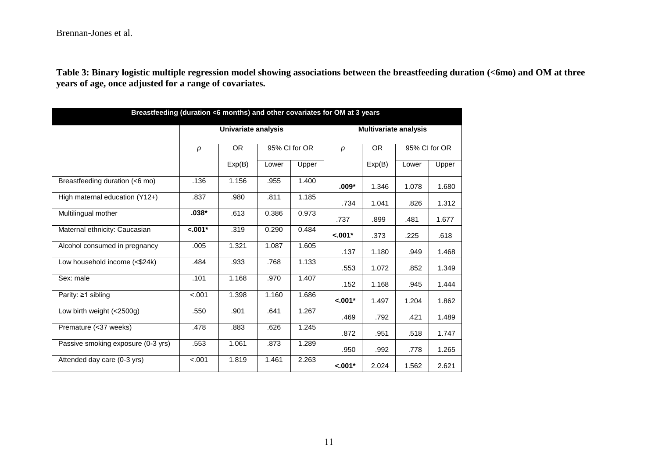**Table 3: Binary logistic multiple regression model showing associations between the breastfeeding duration (<6mo) and OM at three years of age, once adjusted for a range of covariates.** 

| Breastfeeding (duration <6 months) and other covariates for OM at 3 years |                            |                            |       |                  |           |                              |               |       |  |
|---------------------------------------------------------------------------|----------------------------|----------------------------|-------|------------------|-----------|------------------------------|---------------|-------|--|
|                                                                           | <b>Univariate analysis</b> |                            |       |                  |           | <b>Multivariate analysis</b> |               |       |  |
|                                                                           | p                          | 95% CI for OR<br><b>OR</b> |       | $\boldsymbol{p}$ | <b>OR</b> |                              | 95% CI for OR |       |  |
|                                                                           |                            | Exp(B)                     | Lower | Upper            |           | Exp(B)                       | Lower         | Upper |  |
| Breastfeeding duration (<6 mo)                                            | .136                       | 1.156                      | .955  | 1.400            | $.009*$   | 1.346                        | 1.078         | 1.680 |  |
| High maternal education (Y12+)                                            | .837                       | .980                       | .811  | 1.185            | .734      | 1.041                        | .826          | 1.312 |  |
| Multilingual mother                                                       | $.038*$                    | .613                       | 0.386 | 0.973            | .737      | .899                         | .481          | 1.677 |  |
| Maternal ethnicity: Caucasian                                             | $-.001*$                   | .319                       | 0.290 | 0.484            | $< .001*$ | .373                         | .225          | .618  |  |
| Alcohol consumed in pregnancy                                             | .005                       | 1.321                      | 1.087 | 1.605            | .137      | 1.180                        | .949          | 1.468 |  |
| Low household income (<\$24k)                                             | .484                       | .933                       | .768  | 1.133            | .553      | 1.072                        | .852          | 1.349 |  |
| Sex: male                                                                 | .101                       | 1.168                      | .970  | 1.407            | .152      | 1.168                        | .945          | 1.444 |  |
| Parity: $\geq$ 1 sibling                                                  | $-.001$                    | 1.398                      | 1.160 | 1.686            | $-.001*$  | 1.497                        | 1.204         | 1.862 |  |
| Low birth weight (<2500g)                                                 | .550                       | .901                       | .641  | 1.267            | .469      | .792                         | .421          | 1.489 |  |
| Premature (<37 weeks)                                                     | .478                       | .883                       | .626  | 1.245            | .872      | .951                         | .518          | 1.747 |  |
| Passive smoking exposure (0-3 yrs)                                        | .553                       | 1.061                      | .873  | 1.289            | .950      | .992                         | .778          | 1.265 |  |
| Attended day care (0-3 yrs)                                               | $-.001$                    | 1.819                      | 1.461 | 2.263            | $< .001*$ | 2.024                        | 1.562         | 2.621 |  |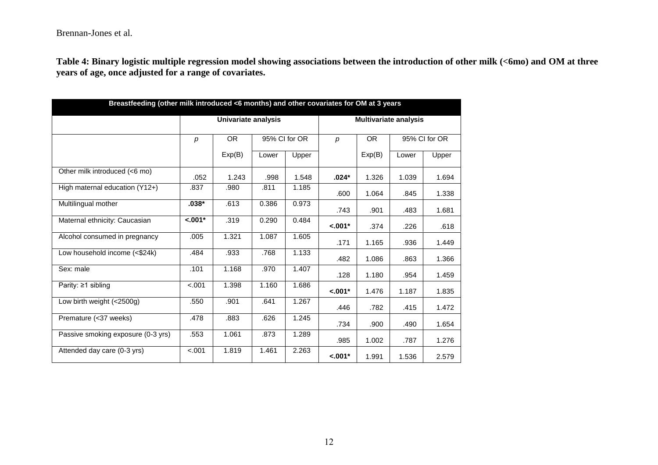**Table 4: Binary logistic multiple regression model showing associations between the introduction of other milk (<6mo) and OM at three years of age, once adjusted for a range of covariates.** 

| Breastfeeding (other milk introduced <6 months) and other covariates for OM at 3 years |                            |                            |       |       |            |                              |       |       |  |
|----------------------------------------------------------------------------------------|----------------------------|----------------------------|-------|-------|------------|------------------------------|-------|-------|--|
|                                                                                        | <b>Univariate analysis</b> |                            |       |       |            | <b>Multivariate analysis</b> |       |       |  |
|                                                                                        | p                          | <b>OR</b><br>95% CI for OR |       | p     | <b>OR</b>  | 95% CI for OR                |       |       |  |
|                                                                                        |                            | Exp(B)                     | Lower | Upper |            | Exp(B)                       | Lower | Upper |  |
| Other milk introduced (<6 mo)                                                          | .052                       | 1.243                      | .998  | 1.548 | $.024*$    | 1.326                        | 1.039 | 1.694 |  |
| High maternal education (Y12+)                                                         | .837                       | .980                       | .811  | 1.185 | .600       | 1.064                        | .845  | 1.338 |  |
| Multilingual mother                                                                    | $.038*$                    | .613                       | 0.386 | 0.973 | .743       | .901                         | .483  | 1.681 |  |
| Maternal ethnicity: Caucasian                                                          | $\overline{-.001*}$        | .319                       | 0.290 | 0.484 | $< .001*$  | .374                         | .226  | .618  |  |
| Alcohol consumed in pregnancy                                                          | .005                       | 1.321                      | 1.087 | 1.605 | .171       | 1.165                        | .936  | 1.449 |  |
| Low household income (<\$24k)                                                          | .484                       | .933                       | .768  | 1.133 | .482       | 1.086                        | .863  | 1.366 |  |
| Sex: male                                                                              | .101                       | 1.168                      | .970  | 1.407 | .128       | 1.180                        | .954  | 1.459 |  |
| Parity: $\geq 1$ sibling                                                               | < .001                     | 1.398                      | 1.160 | 1.686 | $-.001*$   | 1.476                        | 1.187 | 1.835 |  |
| Low birth weight (<2500g)                                                              | .550                       | .901                       | .641  | 1.267 | .446       | .782                         | .415  | 1.472 |  |
| Premature (<37 weeks)                                                                  | .478                       | .883                       | .626  | 1.245 | .734       | .900                         | .490  | 1.654 |  |
| Passive smoking exposure (0-3 yrs)                                                     | .553                       | 1.061                      | .873  | 1.289 | .985       | 1.002                        | .787  | 1.276 |  |
| Attended day care (0-3 yrs)                                                            | $-.001$                    | 1.819                      | 1.461 | 2.263 | $< 0.01$ * | 1.991                        | 1.536 | 2.579 |  |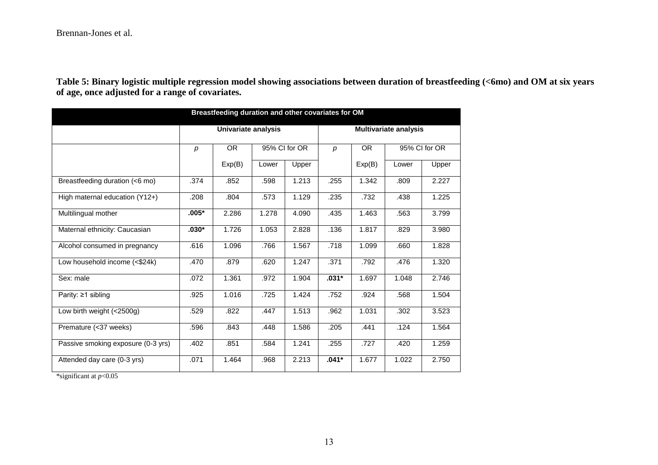**Table 5: Binary logistic multiple regression model showing associations between duration of breastfeeding (<6mo) and OM at six years of age, once adjusted for a range of covariates.** 

| Breastfeeding duration and other covariates for OM |                            |                      |       |       |           |        |                              |       |  |
|----------------------------------------------------|----------------------------|----------------------|-------|-------|-----------|--------|------------------------------|-------|--|
|                                                    | <b>Univariate analysis</b> |                      |       |       |           |        | <b>Multivariate analysis</b> |       |  |
|                                                    | p                          | OR.<br>95% CI for OR |       | p     | <b>OR</b> |        | 95% CI for OR                |       |  |
|                                                    |                            | Exp(B)               | Lower | Upper |           | Exp(B) | Lower                        | Upper |  |
| Breastfeeding duration (<6 mo)                     | .374                       | .852                 | .598  | 1.213 | .255      | 1.342  | .809                         | 2.227 |  |
| High maternal education (Y12+)                     | .208                       | .804                 | .573  | 1.129 | .235      | .732   | .438                         | 1.225 |  |
| Multilingual mother                                | $.005*$                    | 2.286                | 1.278 | 4.090 | .435      | 1.463  | .563                         | 3.799 |  |
| Maternal ethnicity: Caucasian                      | $.030*$                    | 1.726                | 1.053 | 2.828 | .136      | 1.817  | .829                         | 3.980 |  |
| Alcohol consumed in pregnancy                      | .616                       | 1.096                | .766  | 1.567 | .718      | 1.099  | .660                         | 1.828 |  |
| Low household income (<\$24k)                      | .470                       | .879                 | .620  | 1.247 | .371      | .792   | .476                         | 1.320 |  |
| Sex: male                                          | .072                       | 1.361                | .972  | 1.904 | $.031*$   | 1.697  | 1.048                        | 2.746 |  |
| Parity: $\geq$ 1 sibling                           | .925                       | 1.016                | .725  | 1.424 | .752      | .924   | .568                         | 1.504 |  |
| Low birth weight (<2500g)                          | .529                       | .822                 | .447  | 1.513 | .962      | 1.031  | .302                         | 3.523 |  |
| Premature (<37 weeks)                              | .596                       | .843                 | .448  | 1.586 | .205      | .441   | .124                         | 1.564 |  |
| Passive smoking exposure (0-3 yrs)                 | .402                       | .851                 | .584  | 1.241 | .255      | .727   | .420                         | 1.259 |  |
| Attended day care (0-3 yrs)                        | .071                       | 1.464                | .968  | 2.213 | $.041*$   | 1.677  | 1.022                        | 2.750 |  |

\*significant at *p*<0.05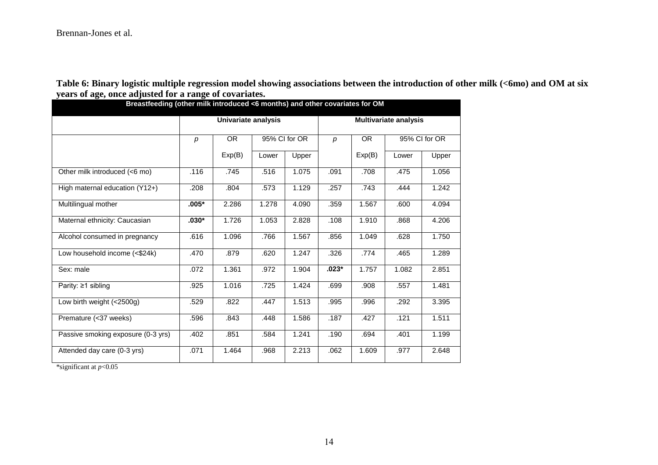**Table 6: Binary logistic multiple regression model showing associations between the introduction of other milk (<6mo) and OM at six years of age, once adjusted for a range of covariates.** 

| <del>.</del> .,<br>Breastfeeding (other milk introduced <6 months) and other covariates for OM |                     |           |               |       |         |        |                              |               |  |  |
|------------------------------------------------------------------------------------------------|---------------------|-----------|---------------|-------|---------|--------|------------------------------|---------------|--|--|
|                                                                                                | Univariate analysis |           |               |       |         |        | <b>Multivariate analysis</b> |               |  |  |
|                                                                                                | p                   | <b>OR</b> | 95% CI for OR |       | р       | OR.    |                              | 95% CI for OR |  |  |
|                                                                                                |                     | Exp(B)    | Lower         | Upper |         | Exp(B) | Lower                        | Upper         |  |  |
| Other milk introduced (<6 mo)                                                                  | .116                | .745      | .516          | 1.075 | .091    | .708   | .475                         | 1.056         |  |  |
| High maternal education (Y12+)                                                                 | .208                | .804      | .573          | 1.129 | .257    | .743   | .444                         | 1.242         |  |  |
| Multilingual mother                                                                            | $.005*$             | 2.286     | 1.278         | 4.090 | .359    | 1.567  | .600                         | 4.094         |  |  |
| Maternal ethnicity: Caucasian                                                                  | $.030*$             | 1.726     | 1.053         | 2.828 | .108    | 1.910  | .868                         | 4.206         |  |  |
| Alcohol consumed in pregnancy                                                                  | .616                | 1.096     | .766          | 1.567 | .856    | 1.049  | .628                         | 1.750         |  |  |
| Low household income (<\$24k)                                                                  | .470                | .879      | .620          | 1.247 | .326    | .774   | .465                         | 1.289         |  |  |
| Sex: male                                                                                      | .072                | 1.361     | .972          | 1.904 | $.023*$ | 1.757  | 1.082                        | 2.851         |  |  |
| Parity: $\geq$ 1 sibling                                                                       | .925                | 1.016     | .725          | 1.424 | .699    | .908   | .557                         | 1.481         |  |  |
| Low birth weight (<2500g)                                                                      | .529                | .822      | .447          | 1.513 | .995    | .996   | .292                         | 3.395         |  |  |
| Premature (<37 weeks)                                                                          | .596                | .843      | .448          | 1.586 | .187    | .427   | .121                         | 1.511         |  |  |
| Passive smoking exposure (0-3 yrs)                                                             | .402                | .851      | .584          | 1.241 | .190    | .694   | .401                         | 1.199         |  |  |
| Attended day care (0-3 yrs)                                                                    | .071                | 1.464     | .968          | 2.213 | .062    | 1.609  | .977                         | 2.648         |  |  |

\*significant at *p*<0.05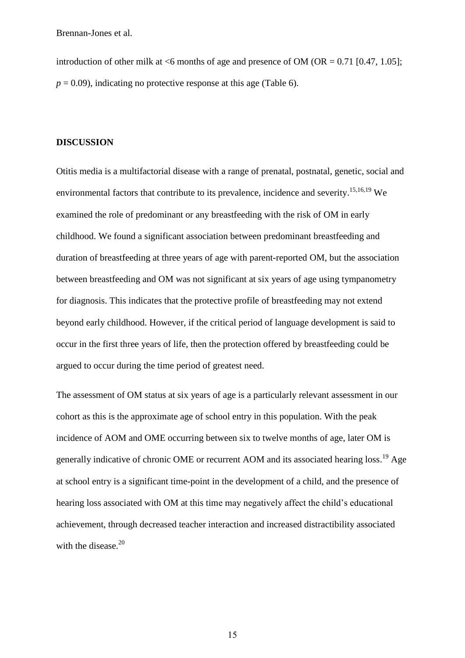introduction of other milk at  $\leq 6$  months of age and presence of OM (OR = 0.71 [0.47, 1.05];  $p = 0.09$ ), indicating no protective response at this age (Table 6).

## **DISCUSSION**

Otitis media is a multifactorial disease with a range of prenatal, postnatal, genetic, social and environmental factors that contribute to its prevalence, incidence and severity.<sup>15,16,19</sup> We examined the role of predominant or any breastfeeding with the risk of OM in early childhood. We found a significant association between predominant breastfeeding and duration of breastfeeding at three years of age with parent-reported OM, but the association between breastfeeding and OM was not significant at six years of age using tympanometry for diagnosis. This indicates that the protective profile of breastfeeding may not extend beyond early childhood. However, if the critical period of language development is said to occur in the first three years of life, then the protection offered by breastfeeding could be argued to occur during the time period of greatest need.

The assessment of OM status at six years of age is a particularly relevant assessment in our cohort as this is the approximate age of school entry in this population. With the peak incidence of AOM and OME occurring between six to twelve months of age, later OM is generally indicative of chronic OME or recurrent AOM and its associated hearing loss.<sup>19</sup> Age at school entry is a significant time-point in the development of a child, and the presence of hearing loss associated with OM at this time may negatively affect the child's educational achievement, through decreased teacher interaction and increased distractibility associated with the disease. $20$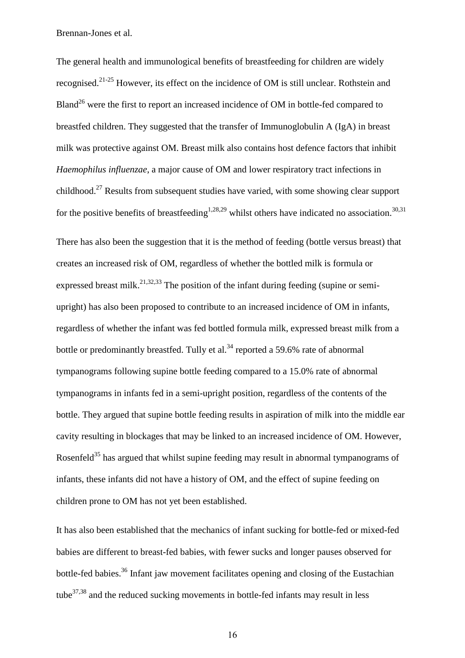The general health and immunological benefits of breastfeeding for children are widely recognised.21-25 However, its effect on the incidence of OM is still unclear. Rothstein and Bland<sup>26</sup> were the first to report an increased incidence of OM in bottle-fed compared to breastfed children. They suggested that the transfer of Immunoglobulin A (IgA) in breast milk was protective against OM. Breast milk also contains host defence factors that inhibit *Haemophilus influenzae*, a major cause of OM and lower respiratory tract infections in childhood.<sup>27</sup> Results from subsequent studies have varied, with some showing clear support for the positive benefits of breastfeeding<sup>1,28,29</sup> whilst others have indicated no association.<sup>30,31</sup>

There has also been the suggestion that it is the method of feeding (bottle versus breast) that creates an increased risk of OM, regardless of whether the bottled milk is formula or expressed breast milk.<sup>21,32,33</sup> The position of the infant during feeding (supine or semiupright) has also been proposed to contribute to an increased incidence of OM in infants, regardless of whether the infant was fed bottled formula milk, expressed breast milk from a bottle or predominantly breastfed. Tully et al.<sup>34</sup> reported a 59.6% rate of abnormal tympanograms following supine bottle feeding compared to a 15.0% rate of abnormal tympanograms in infants fed in a semi-upright position, regardless of the contents of the bottle. They argued that supine bottle feeding results in aspiration of milk into the middle ear cavity resulting in blockages that may be linked to an increased incidence of OM. However, Rosenfeld<sup>35</sup> has argued that whilst supine feeding may result in abnormal tympanograms of infants, these infants did not have a history of OM, and the effect of supine feeding on children prone to OM has not yet been established.

It has also been established that the mechanics of infant sucking for bottle-fed or mixed-fed babies are different to breast-fed babies, with fewer sucks and longer pauses observed for bottle-fed babies.<sup>36</sup> Infant jaw movement facilitates opening and closing of the Eustachian tube $37,38$  and the reduced sucking movements in bottle-fed infants may result in less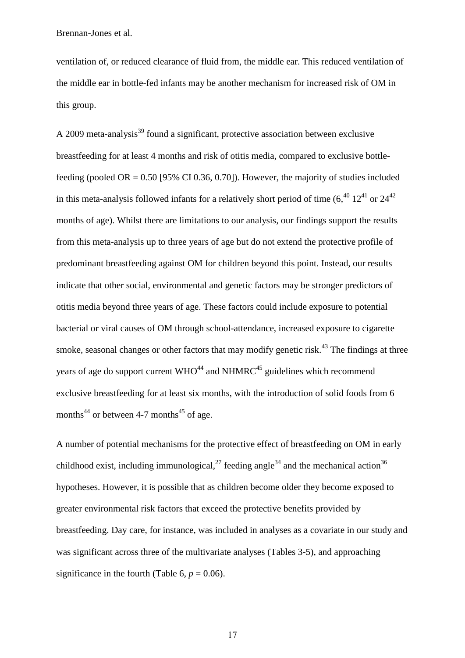ventilation of, or reduced clearance of fluid from, the middle ear. This reduced ventilation of the middle ear in bottle-fed infants may be another mechanism for increased risk of OM in this group.

A 2009 meta-analysis<sup>39</sup> found a significant, protective association between exclusive breastfeeding for at least 4 months and risk of otitis media, compared to exclusive bottlefeeding (pooled OR =  $0.50$  [95% CI 0.36, 0.70]). However, the majority of studies included in this meta-analysis followed infants for a relatively short period of time  $(6,^{40} 12^{41}$  or  $24^{42}$ months of age). Whilst there are limitations to our analysis, our findings support the results from this meta-analysis up to three years of age but do not extend the protective profile of predominant breastfeeding against OM for children beyond this point. Instead, our results indicate that other social, environmental and genetic factors may be stronger predictors of otitis media beyond three years of age. These factors could include exposure to potential bacterial or viral causes of OM through school-attendance, increased exposure to cigarette smoke, seasonal changes or other factors that may modify genetic risk.<sup>43</sup> The findings at three years of age do support current  $WHO^{44}$  and  $NHMRC^{45}$  guidelines which recommend exclusive breastfeeding for at least six months, with the introduction of solid foods from 6 months<sup>44</sup> or between 4-7 months<sup>45</sup> of age.

A number of potential mechanisms for the protective effect of breastfeeding on OM in early childhood exist, including immunological,  $27$  feeding angle<sup>34</sup> and the mechanical action<sup>36</sup> hypotheses. However, it is possible that as children become older they become exposed to greater environmental risk factors that exceed the protective benefits provided by breastfeeding. Day care, for instance, was included in analyses as a covariate in our study and was significant across three of the multivariate analyses (Tables 3-5), and approaching significance in the fourth (Table 6,  $p = 0.06$ ).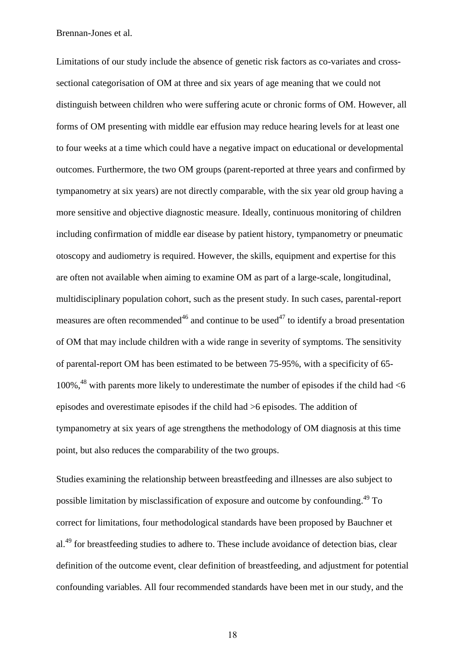Limitations of our study include the absence of genetic risk factors as co-variates and crosssectional categorisation of OM at three and six years of age meaning that we could not distinguish between children who were suffering acute or chronic forms of OM. However, all forms of OM presenting with middle ear effusion may reduce hearing levels for at least one to four weeks at a time which could have a negative impact on educational or developmental outcomes. Furthermore, the two OM groups (parent-reported at three years and confirmed by tympanometry at six years) are not directly comparable, with the six year old group having a more sensitive and objective diagnostic measure. Ideally, continuous monitoring of children including confirmation of middle ear disease by patient history, tympanometry or pneumatic otoscopy and audiometry is required. However, the skills, equipment and expertise for this are often not available when aiming to examine OM as part of a large-scale, longitudinal, multidisciplinary population cohort, such as the present study. In such cases, parental-report measures are often recommended<sup>46</sup> and continue to be used<sup>47</sup> to identify a broad presentation of OM that may include children with a wide range in severity of symptoms. The sensitivity of parental-report OM has been estimated to be between 75-95%, with a specificity of 65- 100%, <sup>48</sup> with parents more likely to underestimate the number of episodes if the child had  $<6$ episodes and overestimate episodes if the child had >6 episodes. The addition of tympanometry at six years of age strengthens the methodology of OM diagnosis at this time point, but also reduces the comparability of the two groups.

Studies examining the relationship between breastfeeding and illnesses are also subject to possible limitation by misclassification of exposure and outcome by confounding.<sup>49</sup> To correct for limitations, four methodological standards have been proposed by Bauchner et al.<sup>49</sup> for breastfeeding studies to adhere to. These include avoidance of detection bias, clear definition of the outcome event, clear definition of breastfeeding, and adjustment for potential confounding variables. All four recommended standards have been met in our study, and the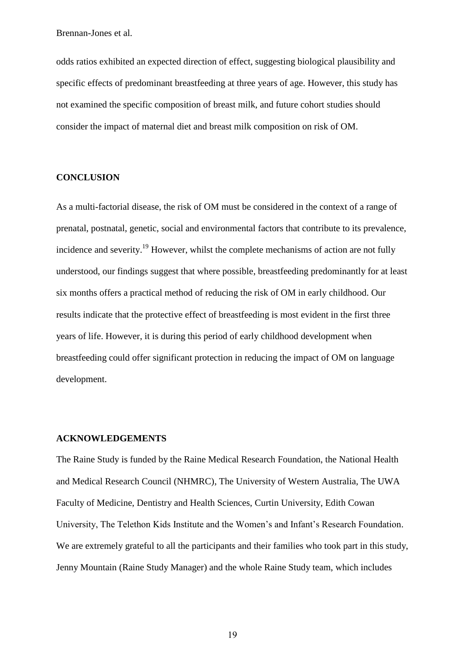odds ratios exhibited an expected direction of effect, suggesting biological plausibility and specific effects of predominant breastfeeding at three years of age. However, this study has not examined the specific composition of breast milk, and future cohort studies should consider the impact of maternal diet and breast milk composition on risk of OM.

# **CONCLUSION**

As a multi-factorial disease, the risk of OM must be considered in the context of a range of prenatal, postnatal, genetic, social and environmental factors that contribute to its prevalence, incidence and severity.<sup>19</sup> However, whilst the complete mechanisms of action are not fully understood, our findings suggest that where possible, breastfeeding predominantly for at least six months offers a practical method of reducing the risk of OM in early childhood. Our results indicate that the protective effect of breastfeeding is most evident in the first three years of life. However, it is during this period of early childhood development when breastfeeding could offer significant protection in reducing the impact of OM on language development.

#### **ACKNOWLEDGEMENTS**

The Raine Study is funded by the Raine Medical Research Foundation, the National Health and Medical Research Council (NHMRC), The University of Western Australia, The UWA Faculty of Medicine, Dentistry and Health Sciences, Curtin University, Edith Cowan University, The Telethon Kids Institute and the Women's and Infant's Research Foundation. We are extremely grateful to all the participants and their families who took part in this study, Jenny Mountain (Raine Study Manager) and the whole Raine Study team, which includes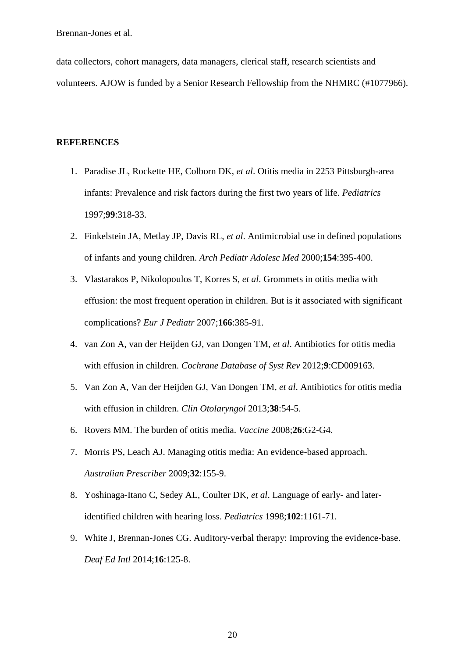data collectors, cohort managers, data managers, clerical staff, research scientists and volunteers. AJOW is funded by a Senior Research Fellowship from the NHMRC (#1077966).

# **REFERENCES**

- 1. Paradise JL, Rockette HE, Colborn DK, *et al*. Otitis media in 2253 Pittsburgh-area infants: Prevalence and risk factors during the first two years of life. *Pediatrics* 1997;**99**:318-33.
- 2. Finkelstein JA, Metlay JP, Davis RL, *et al*. Antimicrobial use in defined populations of infants and young children. *Arch Pediatr Adolesc Med* 2000;**154**:395-400.
- 3. Vlastarakos P, Nikolopoulos T, Korres S, *et al*. Grommets in otitis media with effusion: the most frequent operation in children. But is it associated with significant complications? *Eur J Pediatr* 2007;**166**:385-91.
- 4. van Zon A, van der Heijden GJ, van Dongen TM, *et al*. Antibiotics for otitis media with effusion in children. *Cochrane Database of Syst Rev* 2012;**9**:CD009163.
- 5. Van Zon A, Van der Heijden GJ, Van Dongen TM, *et al*. Antibiotics for otitis media with effusion in children. *Clin Otolaryngol* 2013;**38**:54-5.
- 6. Rovers MM. The burden of otitis media. *Vaccine* 2008;**26**:G2-G4.
- 7. Morris PS, Leach AJ. Managing otitis media: An evidence-based approach. *Australian Prescriber* 2009;**32**:155-9.
- 8. Yoshinaga-Itano C, Sedey AL, Coulter DK, *et al*. Language of early- and lateridentified children with hearing loss. *Pediatrics* 1998;**102**:1161-71.
- 9. White J, Brennan-Jones CG. Auditory-verbal therapy: Improving the evidence-base. *Deaf Ed Intl* 2014;**16**:125-8.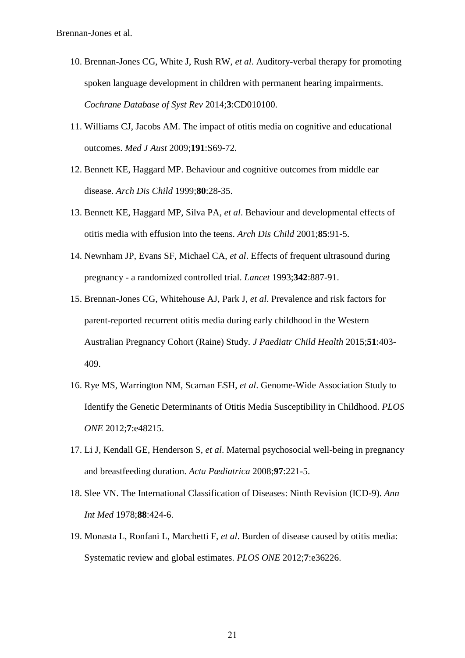- 10. Brennan-Jones CG, White J, Rush RW, *et al*. Auditory-verbal therapy for promoting spoken language development in children with permanent hearing impairments*. Cochrane Database of Syst Rev* 2014;**3**:CD010100.
- 11. Williams CJ, Jacobs AM. The impact of otitis media on cognitive and educational outcomes. *Med J Aust* 2009;**191**:S69-72.
- 12. Bennett KE, Haggard MP. Behaviour and cognitive outcomes from middle ear disease. *Arch Dis Child* 1999;**80**:28-35.
- 13. Bennett KE, Haggard MP, Silva PA, *et al*. Behaviour and developmental effects of otitis media with effusion into the teens. *Arch Dis Child* 2001;**85**:91-5.
- 14. Newnham JP, Evans SF, Michael CA, *et al*. Effects of frequent ultrasound during pregnancy - a randomized controlled trial. *Lancet* 1993;**342**:887-91.
- 15. Brennan-Jones CG, Whitehouse AJ, Park J, *et al*. Prevalence and risk factors for parent-reported recurrent otitis media during early childhood in the Western Australian Pregnancy Cohort (Raine) Study. *J Paediatr Child Health* 2015;**51**:403- 409.
- 16. Rye MS, Warrington NM, Scaman ESH, *et al*. Genome-Wide Association Study to Identify the Genetic Determinants of Otitis Media Susceptibility in Childhood. *PLOS ONE* 2012;**7**:e48215.
- 17. Li J, Kendall GE, Henderson S, *et al*. Maternal psychosocial well-being in pregnancy and breastfeeding duration. *Acta Pædiatrica* 2008;**97**:221-5.
- 18. Slee VN. The International Classification of Diseases: Ninth Revision (ICD-9). *Ann Int Med* 1978;**88**:424-6.
- 19. Monasta L, Ronfani L, Marchetti F, *et al*. Burden of disease caused by otitis media: Systematic review and global estimates. *PLOS ONE* 2012;**7**:e36226.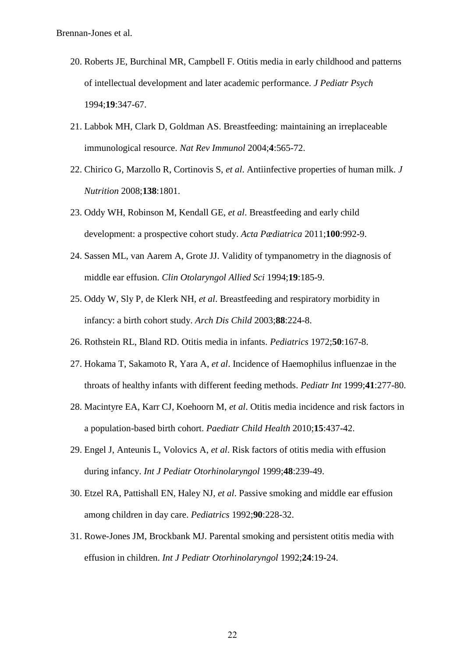- 20. Roberts JE, Burchinal MR, Campbell F. Otitis media in early childhood and patterns of intellectual development and later academic performance. *J Pediatr Psych* 1994;**19**:347-67.
- 21. Labbok MH, Clark D, Goldman AS. Breastfeeding: maintaining an irreplaceable immunological resource. *Nat Rev Immunol* 2004;**4**:565-72.
- 22. Chirico G, Marzollo R, Cortinovis S, *et al*. Antiinfective properties of human milk. *J Nutrition* 2008;**138**:1801.
- 23. Oddy WH, Robinson M, Kendall GE, *et al*. Breastfeeding and early child development: a prospective cohort study. *Acta Pædiatrica* 2011;**100**:992-9.
- 24. Sassen ML, van Aarem A, Grote JJ. Validity of tympanometry in the diagnosis of middle ear effusion. *Clin Otolaryngol Allied Sci* 1994;**19**:185-9.
- 25. Oddy W, Sly P, de Klerk NH, *et al*. Breastfeeding and respiratory morbidity in infancy: a birth cohort study. *Arch Dis Child* 2003;**88**:224-8.
- 26. Rothstein RL, Bland RD. Otitis media in infants. *Pediatrics* 1972;**50**:167-8.
- 27. Hokama T, Sakamoto R, Yara A, *et al*. Incidence of Haemophilus influenzae in the throats of healthy infants with different feeding methods. *Pediatr Int* 1999;**41**:277-80.
- 28. Macintyre EA, Karr CJ, Koehoorn M, *et al*. Otitis media incidence and risk factors in a population-based birth cohort. *Paediatr Child Health* 2010;**15**:437-42.
- 29. Engel J, Anteunis L, Volovics A, *et al*. Risk factors of otitis media with effusion during infancy. *Int J Pediatr Otorhinolaryngol* 1999;**48**:239-49.
- 30. Etzel RA, Pattishall EN, Haley NJ, *et al*. Passive smoking and middle ear effusion among children in day care. *Pediatrics* 1992;**90**:228-32.
- 31. Rowe-Jones JM, Brockbank MJ. Parental smoking and persistent otitis media with effusion in children. *Int J Pediatr Otorhinolaryngol* 1992;**24**:19-24.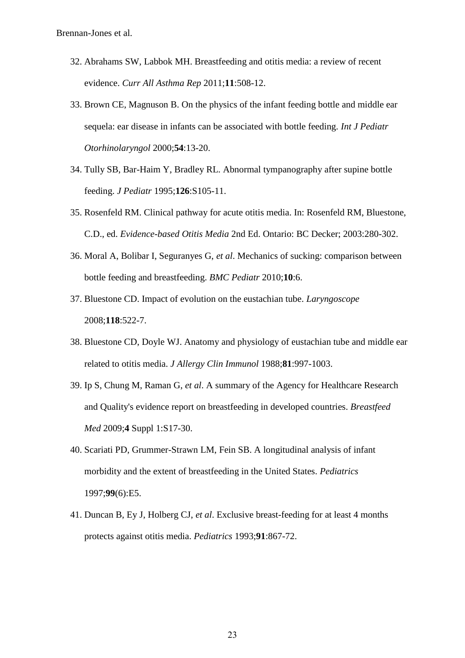- 32. Abrahams SW, Labbok MH. Breastfeeding and otitis media: a review of recent evidence. *Curr All Asthma Rep* 2011;**11**:508-12.
- 33. Brown CE, Magnuson B. On the physics of the infant feeding bottle and middle ear sequela: ear disease in infants can be associated with bottle feeding. *Int J Pediatr Otorhinolaryngol* 2000;**54**:13-20.
- 34. Tully SB, Bar-Haim Y, Bradley RL. Abnormal tympanography after supine bottle feeding. *J Pediatr* 1995;**126**:S105-11.
- 35. Rosenfeld RM. Clinical pathway for acute otitis media. In: Rosenfeld RM, Bluestone, C.D., ed. *Evidence-based Otitis Media* 2nd Ed. Ontario: BC Decker; 2003:280-302.
- 36. Moral A, Bolibar I, Seguranyes G, *et al*. Mechanics of sucking: comparison between bottle feeding and breastfeeding. *BMC Pediatr* 2010;**10**:6.
- 37. Bluestone CD. Impact of evolution on the eustachian tube. *Laryngoscope* 2008;**118**:522-7.
- 38. Bluestone CD, Doyle WJ. Anatomy and physiology of eustachian tube and middle ear related to otitis media. *J Allergy Clin Immunol* 1988;**81**:997-1003.
- 39. Ip S, Chung M, Raman G, *et al*. A summary of the Agency for Healthcare Research and Quality's evidence report on breastfeeding in developed countries. *Breastfeed Med* 2009;**4** Suppl 1:S17-30.
- 40. Scariati PD, Grummer-Strawn LM, Fein SB. A longitudinal analysis of infant morbidity and the extent of breastfeeding in the United States. *Pediatrics* 1997;**99**(6):E5.
- 41. Duncan B, Ey J, Holberg CJ, *et al*. Exclusive breast-feeding for at least 4 months protects against otitis media. *Pediatrics* 1993;**91**:867-72.